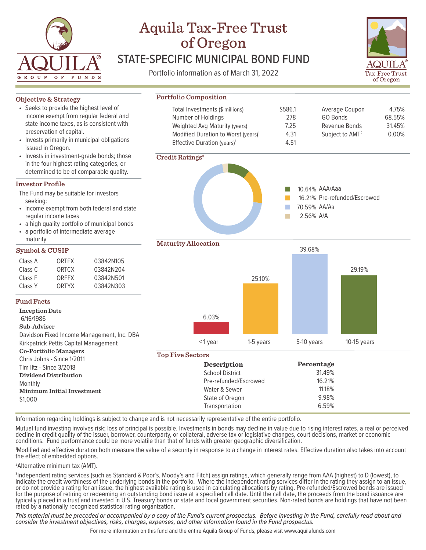

# Aquila Tax-Free Trust of Oregon STATE-SPECIFIC MUNICIPAL BOND FUND

Portfolio information as of March 31, 2022



### Class A ORTFX 03842N105 Class C ORTCX 03842N204 Class F ORFFX 03842N501 Class Y ORTYX 03842N303 Information regarding holdings is subject to change and is not necessarily representative of the entire portfolio. Mutual fund investing involves risk; loss of principal is possible. Investments in bonds may decline in value due to rising interest rates, a real or perceived decline in credit quality of the issuer, borrower, counterparty, or collateral, adverse tax or legislative changes, court decisions, market or economic conditions. Fund performance could be more volatile than that of funds with greater geographic diversification. 1 Modified and effective duration both measure the value of a security in response to a change in interest rates. Effective duration also takes into account the effect of embedded options. **Objective & Strategy** The Fund may be suitable for investors seeking: • income exempt from both federal and state regular income taxes a high quality portfolio of municipal bonds a portfolio of intermediate average maturity **Investor Profile Symbol & CUSIP Credit Ratings3 Maturity Allocation Portfolio Composition** Total Investments (\$ millions) Number of Holdings Weighted Avg Maturity (years) Modified Duration to Worst (years)<sup>1</sup> Effective Duration (years)<sup>1</sup> **Top Five Sectors Description** School District Pre-refunded/Escrowed Water & Sewer State of Oregon Transportation **Fund Facts Inception Date** 6/16/1986 **Sub-Adviser** Davidson Fixed Income Management, Inc. DBA Kirkpatrick Pettis Capital Management **Co-Portfolio Managers** Chris Johns - Since 1/2011 Tim Iltz - Since 3/2018 **Dividend Distribution** Monthly **Minimum Initial Investment** \$1,000 • Seeks to provide the highest level of income exempt from regular federal and state income taxes, as is consistent with preservation of capital. • Invests primarily in municipal obligations issued in Oregon. • Invests in investment-grade bonds; those in the four highest rating categories, or determined to be of comparable quality. Average Coupon GO Bonds Revenue Bonds Subject to AMT2 10.64% AAA/Aaa 16.21% Pre-refunded/Escrowed 70.59% AA/Aa 2.56% A/A  $\mathbb{R}^3$  $\Box$ T.  $\overline{\phantom{a}}$ 6.03% 25.10% 39.68% 29.19% < 1 year 1-5 years 5-10 years 10-15 years **Percentage** 31.49% 16.21% 11.18% 9.98% 6.59% \$586.1 278 7.25 4.31 4.51 4.75% 68.55% 31.45% 0.00%

2 Alternative minimum tax (AMT).

3 Independent rating services (such as Standard & Poor's, Moody's and Fitch) assign ratings, which generally range from AAA (highest) to D (lowest), to indicate the credit worthiness of the underlying bonds in the portfolio. Where the independent rating services differ in the rating they assign to an issue, or do not provide a rating for an issue, the highest available rating is used in calculating allocations by rating. Pre-refunded/Escrowed bonds are issued for the purpose of retiring or redeeming an outstanding bond issue at a specified call date. Until the call date, the proceeds from the bond issuance are typically placed in a trust and invested in U.S. Treasury bonds or state and local government securities. Non-rated bonds are holdings that have not been rated by a nationally recognized statistical rating organization.

*This material must be preceded or accompanied by a copy of the Fund's current prospectus. Before investing in the Fund, carefully read about and consider the investment objectives, risks, charges, expenses, and other information found in the Fund prospectus.*